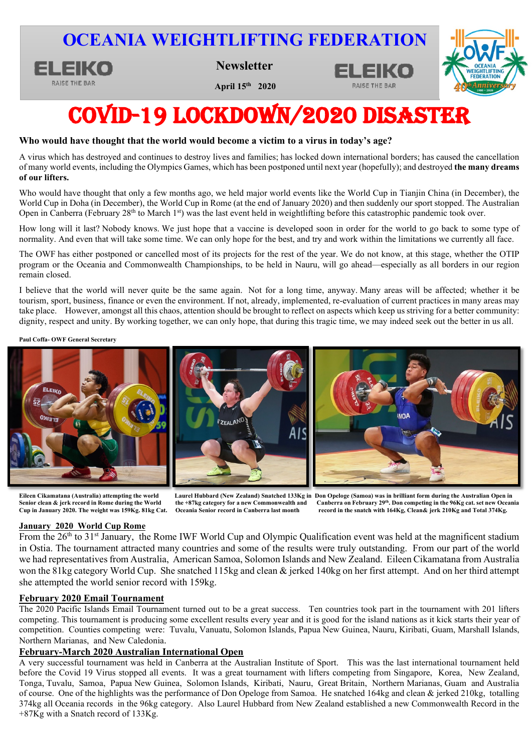# **OCEANIA WEIGHTLIFTING FEDERATION**



**April 15<sup>th</sup> 2020** 



RAISE THE BAR

# COVID-19 lockdown/2020 disaster

### **Who would have thought that the world would become a victim to a virus in today's age?**

A virus which has destroyed and continues to destroy lives and families; has locked down international borders; has caused the cancellation  of many world events, including the Olympics Games, which has been postponed until next year (hopefully); and destroyed **the many dreams of our lifters.**

Who would have thought that only a few months ago, we held major world events like the World Cup in Tianjin China (in December), the World Cup in Doha (in December), the World Cup in Rome (at the end of January 2020) and then suddenly our sport stopped. The Australian Open in Canberra (February 28<sup>th</sup> to March 1<sup>st</sup>) was the last event held in weightlifting before this catastrophic pandemic took over.

How long will it last? Nobody knows. We just hope that a vaccine is developed soon in order for the world to go back to some type of normality. And even that will take some time. We can only hope for the best, and try and work within the limitations we currently all face.

The OWF has either postponed or cancelled most of its projects for the rest of the year. We do not know, at this stage, whether the OTIP program or the Oceania and Commonwealth Championships, to be held in Nauru, will go ahead—especially as all borders in our region remain closed.

I believe that the world will never quite be the same again. Not for a long time, anyway. Many areas will be affected; whether it be tourism, sport, business, finance or even the environment. If not, already, implemented, re-evaluation of current practices in many areas may take place. However, amongst all this chaos, attention should be brought to reflect on aspects which keep us striving for a better community: dignity, respect and unity. By working together, we can only hope, that during this tragic time, we may indeed seek out the better in us all.

**Paul Coffa- OWF General Secretary**



**Eileen Cikamatana (Australia) attempting the world Laurel Hubbard (New Zealand) Snatched 133Kg in Don Opeloge (Samoa) was in brilliant form during the Australian Open in**  Senior clean & jerk record in Rome during the World the +87kg category for a new Commonwealth and Canberra on February 29<sup>th</sup>. Don competing in the 96Kg cat. set new Oceania<br>Cup in January 2020. The weight was 159Kg. 81kg **Cup in January 2020. The weight was 159Kg. 81kg Cat. Oceania Senior record in Canberra last month record in the snatch with 164Kg, Clean& jerk 210Kg and Total 374Kg.**

### **January 2020 World Cup Rome**

From the 26<sup>th</sup> to 31<sup>st</sup> January, the Rome IWF World Cup and Olympic Qualification event was held at the magnificent stadium in Ostia. The tournament attracted many countries and some of the results were truly outstanding. From our part of the world we had representatives from Australia, American Samoa, Solomon Islands and New Zealand. Eileen Cikamatana from Australia won the 81kg category World Cup. She snatched 115kg and clean & jerked 140kg on her first attempt. And on her third attempt she attempted the world senior record with 159kg.

### **February 2020 Email Tournament**

The 2020 Pacific Islands Email Tournament turned out to be a great success. Ten countries took part in the tournament with 201 lifters competing. This tournament is producing some excellent results every year and it is good for the island nations as it kick starts their year of competition. Counties competing were: Tuvalu, Vanuatu, Solomon Islands, Papua New Guinea, Nauru, Kiribati, Guam, Marshall Islands, Northern Marianas, and New Caledonia.

### **February-March 2020 Australian International Open**

A very successful tournament was held in Canberra at the Australian Institute of Sport. This was the last international tournament held before the Covid 19 Virus stopped all events. It was a great tournament with lifters competing from Singapore, Korea, New Zealand, Tonga, Tuvalu, Samoa, Papua New Guinea, Solomon Islands, Kiribati, Nauru, Great Britain, Northern Marianas, Guam and Australia of course. One of the highlights was the performance of Don Opeloge from Samoa. He snatched 164kg and clean & jerked 210kg, totalling 374kg all Oceania records in the 96kg category. Also Laurel Hubbard from New Zealand established a new Commonwealth Record in the +87Kg with a Snatch record of 133Kg.